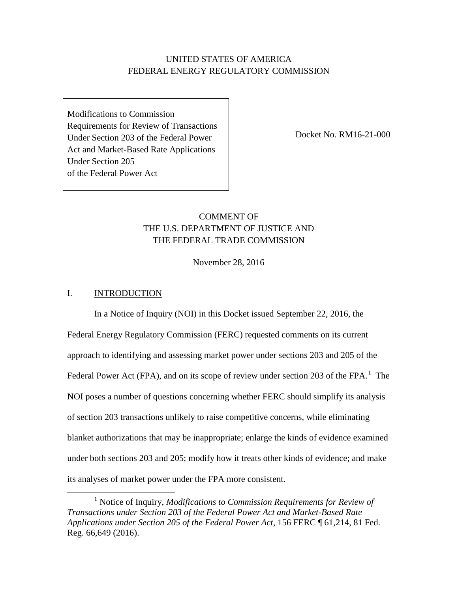# UNITED STATES OF AMERICA FEDERAL ENERGY REGULATORY COMMISSION

Modifications to Commission Requirements for Review of Transactions Under Section 203 of the Federal Power Act and Market-Based Rate Applications Under Section 205 of the Federal Power Act

Docket No. RM16-21-000

# COMMENT OF THE U.S. DEPARTMENT OF JUSTICE AND THE FEDERAL TRADE COMMISSION

November 28, 2016

## I. INTRODUCTION

In a Notice of Inquiry (NOI) in this Docket issued September 22, 2016, the Federal Energy Regulatory Commission (FERC) requested comments on its current approach to identifying and assessing market power under sections 203 and 205 of the Federal Power Act (FPA), and on its scope of review under section 203 of the FPA. $<sup>1</sup>$  The</sup> NOI poses a number of questions concerning whether FERC should simplify its analysis of section 203 transactions unlikely to raise competitive concerns, while eliminating blanket authorizations that may be inappropriate; enlarge the kinds of evidence examined under both sections 203 and 205; modify how it treats other kinds of evidence; and make its analyses of market power under the FPA more consistent.

 <sup>1</sup> Notice of Inquiry, *Modifications to Commission Requirements for Review of Transactions under Section 203 of the Federal Power Act and Market-Based Rate Applications under Section 205 of the Federal Power Act,* 156 FERC ¶ 61,214, 81 Fed. Reg. 66,649 (2016).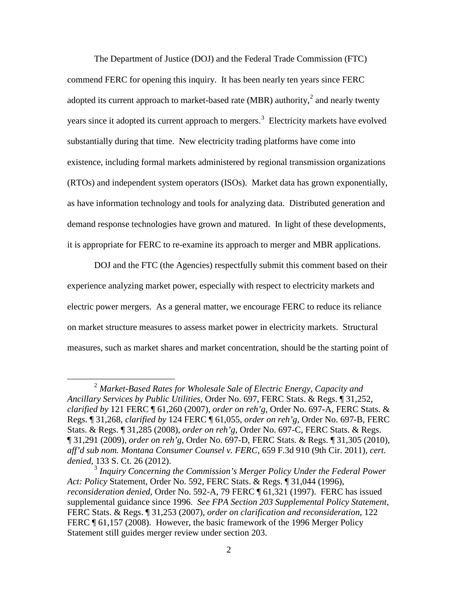The Department of Justice (DOJ) and the Federal Trade Commission (FTC) commend FERC for opening this inquiry. It has been nearly ten years since FERC adopted its current approach to market-based rate (MBR) authority,<sup>2</sup> and nearly twenty years since it adopted its current approach to mergers.<sup>3</sup> Electricity markets have evolved substantially during that time. New electricity trading platforms have come into existence, including formal markets administered by regional transmission organizations (RTOs) and independent system operators (ISOs). Market data has grown exponentially, as have information technology and tools for analyzing data. Distributed generation and demand response technologies have grown and matured. In light of these developments, it is appropriate for FERC to re-examine its approach to merger and MBR applications.

DOJ and the FTC (the Agencies) respectfully submit this comment based on their experience analyzing market power, especially with respect to electricity markets and electric power mergers. As a general matter, we encourage FERC to reduce its reliance on market structure measures to assess market power in electricity markets. Structural measures, such as market shares and market concentration, should be the starting point of

 <sup>2</sup> *Market-Based Rates for Wholesale Sale of Electric Energy, Capacity and Ancillary Services by Public Utilities*, Order No. 697, FERC Stats. & Regs. ¶ 31,252, *clarified by* 121 FERC ¶ 61,260 (2007), *order on reh'g*, Order No. 697-A, FERC Stats. & Regs. ¶ 31,268, *clarified by* 124 FERC ¶ 61,055, *order on reh'g*, Order No. 697-B, FERC Stats. & Regs. ¶ 31,285 (2008), *order on reh'g*, Order No. 697-C, FERC Stats. & Regs. ¶ 31,291 (2009), *order on reh'g*, Order No. 697-D, FERC Stats. & Regs. ¶ 31,305 (2010), *aff'd sub nom. Montana Consumer Counsel v. FERC*, 659 F.3d 910 (9th Cir. 2011), *cert. denied*, 133 S. Ct. 26 (2012).

<sup>3</sup> *Inquiry Concerning the Commission's Merger Policy Under the Federal Power Act: Policy* Statement, Order No. 592, FERC Stats. & Regs. ¶ 31,044 (1996), *reconsideration denied,* Order No. 592-A, 79 FERC ¶ 61,321 (1997). FERC has issued supplemental guidance since 1996. *See FPA Section 203 Supplemental Policy Statement*, FERC Stats. & Regs. ¶ 31,253 (2007), *order on clarification and reconsideration*, 122 FERC ¶ 61,157 (2008). However, the basic framework of the 1996 Merger Policy Statement still guides merger review under section 203.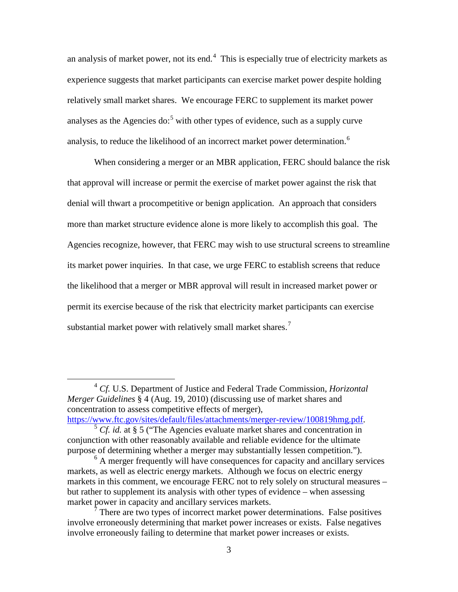an analysis of market power, not its end.<sup>4</sup> This is especially true of electricity markets as experience suggests that market participants can exercise market power despite holding relatively small market shares. We encourage FERC to supplement its market power analyses as the Agencies do:<sup>5</sup> with other types of evidence, such as a supply curve analysis, to reduce the likelihood of an incorrect market power determination.<sup>6</sup>

When considering a merger or an MBR application, FERC should balance the risk that approval will increase or permit the exercise of market power against the risk that denial will thwart a procompetitive or benign application. An approach that considers more than market structure evidence alone is more likely to accomplish this goal. The Agencies recognize, however, that FERC may wish to use structural screens to streamline its market power inquiries. In that case, we urge FERC to establish screens that reduce the likelihood that a merger or MBR approval will result in increased market power or permit its exercise because of the risk that electricity market participants can exercise substantial market power with relatively small market shares.<sup>7</sup>

 <sup>4</sup> *Cf.* U.S. Department of Justice and Federal Trade Commission, *Horizontal Merger Guidelines* § 4 (Aug. 19, 2010) (discussing use of market shares and concentration to assess competitive effects of merger),

https://www.ftc.gov/sites/default/files/attachments/merger-review/100819hmg.pdf. <sup>5</sup> *Cf. id.* at § 5 ("The Agencies evaluate market shares and concentration in

conjunction with other reasonably available and reliable evidence for the ultimate purpose of determining whether a merger may substantially lessen competition.").

 $6$  A merger frequently will have consequences for capacity and ancillary services markets, as well as electric energy markets. Although we focus on electric energy markets in this comment, we encourage FERC not to rely solely on structural measures – but rather to supplement its analysis with other types of evidence – when assessing market power in capacity and ancillary services markets.

There are two types of incorrect market power determinations. False positives involve erroneously determining that market power increases or exists. False negatives involve erroneously failing to determine that market power increases or exists.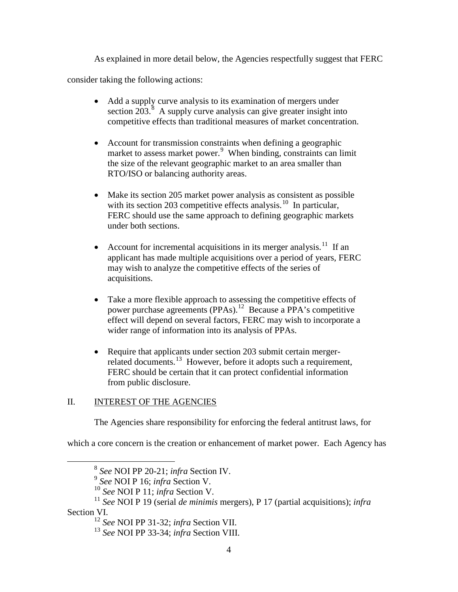As explained in more detail below, the Agencies respectfully suggest that FERC

consider taking the following actions:

- Add a supply curve analysis to its examination of mergers under section  $203$ <sup>8</sup> A supply curve analysis can give greater insight into competitive effects than traditional measures of market concentration.
- Account for transmission constraints when defining a geographic market to assess market power. 9 When binding, constraints can limit the size of the relevant geographic market to an area smaller than RTO/ISO or balancing authority areas.
- Make its section 205 market power analysis as consistent as possible with its section 203 competitive effects analysis.<sup>10</sup> In particular, FERC should use the same approach to defining geographic markets under both sections.
- Account for incremental acquisitions in its merger analysis.<sup>11</sup> If an applicant has made multiple acquisitions over a period of years, FERC may wish to analyze the competitive effects of the series of acquisitions.
- Take a more flexible approach to assessing the competitive effects of power purchase agreements (PPAs). 12 Because a PPA's competitive effect will depend on several factors, FERC may wish to incorporate a wider range of information into its analysis of PPAs.
- Require that applicants under section 203 submit certain mergerrelated documents.<sup>13</sup> However, before it adopts such a requirement, FERC should be certain that it can protect confidential information from public disclosure.

# II. **INTEREST OF THE AGENCIES**

The Agencies share responsibility for enforcing the federal antitrust laws, for

which a core concern is the creation or enhancement of market power. Each Agency has

<sup>&</sup>lt;sup>8</sup> See NOI PP 20-21; infra Section IV.<br>
<sup>9</sup> See NOI P 16; infra Section V.<br>
<sup>10</sup> See NOI P 11; infra Section V.<br>
<sup>11</sup> See NOI P 19 (serial *de minimis* mergers), P 17 (partial acquisitions); *infra* Section VI.<br><sup>12</sup> See NOI PP 31-32; infra Section VII.

<sup>&</sup>lt;sup>13</sup> *See* NOI PP 33-34; *infra* Section VIII.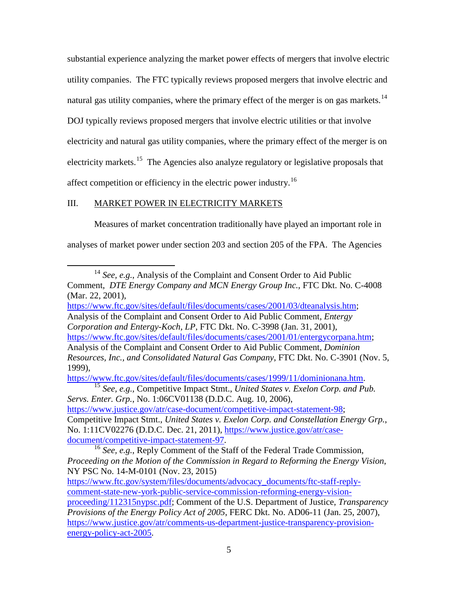substantial experience analyzing the market power effects of mergers that involve electric utility companies. The FTC typically reviews proposed mergers that involve electric and natural gas utility companies, where the primary effect of the merger is on gas markets.<sup>14</sup> DOJ typically reviews proposed mergers that involve electric utilities or that involve electricity and natural gas utility companies, where the primary effect of the merger is on electricity markets.<sup>15</sup> The Agencies also analyze regulatory or legislative proposals that affect competition or efficiency in the electric power industry.16

## III. MARKET POWER IN ELECTRICITY MARKETS

Measures of market concentration traditionally have played an important role in

analyses of market power under section 203 and section 205 of the FPA. The Agencies

*Corporation and Entergy-Koch, LP,* FTC Dkt. No. C-3998 (Jan. 31, 2001),

1999),

https://www.ftc.gov/sites/default/files/documents/cases/1999/11/dominionana.htm. 15 *See, e.g.,* Competitive Impact Stmt., *United States v. Exelon Corp. and Pub. Servs. Enter. Grp.*, No. 1:06CV01138 (D.D.C. Aug. 10, 2006), https://www.justice.gov/atr/case-document/competitive-impact-statement-98; Competitive Impact Stmt., *United States v. Exelon Corp. and Constellation Energy Grp.*, No. 1:11CV02276 (D.D.C. Dec. 21, 2011), https://www.justice.gov/atr/case-<br>document/competitive-impact-statement-97.

<sup>&</sup>lt;sup>14</sup> *See, e.g.*, Analysis of the Complaint and Consent Order to Aid Public Comment, *DTE Energy Company and MCN Energy Group Inc.*, FTC Dkt. No. C-4008 (Mar. 22, 2001),

https://www.ftc.gov/sites/default/files/documents/cases/2001/03/dteanalysis.htm; Analysis of the Complaint and Consent Order to Aid Public Comment, *Entergy* 

https://www.ftc.gov/sites/default/files/documents/cases/2001/01/entergycorpana.htm; Analysis of the Complaint and Consent Order to Aid Public Comment, *Dominion Resources, Inc., and Consolidated Natural Gas Company*, FTC Dkt. No. C-3901 (Nov. 5,

<sup>&</sup>lt;sup>16</sup> See, e.g., Reply Comment of the Staff of the Federal Trade Commission, *Proceeding on the Motion of the Commission in Regard to Reforming the Energy Vision*, NY PSC No. 14-M-0101 (Nov. 23, 2015)

https://www.ftc.gov/system/files/documents/advocacy\_documents/ftc-staff-replycomment-state-new-york-public-service-commission-reforming-energy-visionproceeding/112315nypsc.pdf; Comment of the U.S. Department of Justice, *Transparency Provisions of the Energy Policy Act of 2005*, FERC Dkt. No. AD06-11 (Jan. 25, 2007), https://www.justice.gov/atr/comments-us-department-justice-transparency-provisionenergy-policy-act-2005.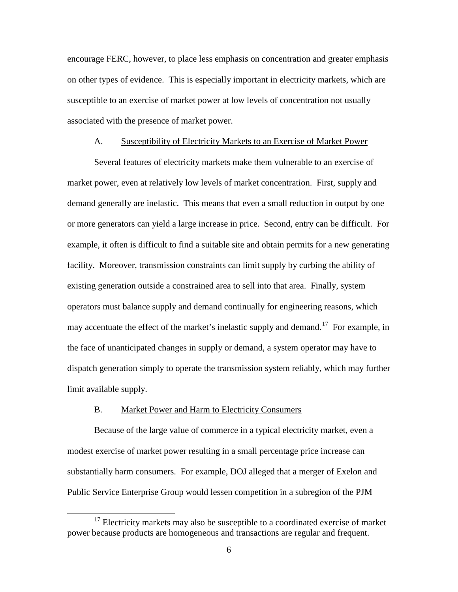encourage FERC, however, to place less emphasis on concentration and greater emphasis on other types of evidence. This is especially important in electricity markets, which are susceptible to an exercise of market power at low levels of concentration not usually associated with the presence of market power.

### A. Susceptibility of Electricity Markets to an Exercise of Market Power

Several features of electricity markets make them vulnerable to an exercise of market power, even at relatively low levels of market concentration. First, supply and demand generally are inelastic. This means that even a small reduction in output by one or more generators can yield a large increase in price. Second, entry can be difficult. For example, it often is difficult to find a suitable site and obtain permits for a new generating facility. Moreover, transmission constraints can limit supply by curbing the ability of existing generation outside a constrained area to sell into that area. Finally, system operators must balance supply and demand continually for engineering reasons, which may accentuate the effect of the market's inelastic supply and demand. <sup>17</sup>For example, in the face of unanticipated changes in supply or demand, a system operator may have to dispatch generation simply to operate the transmission system reliably, which may further limit available supply.

#### B. Market Power and Harm to Electricity Consumers

Because of the large value of commerce in a typical electricity market, even a modest exercise of market power resulting in a small percentage price increase can substantially harm consumers. For example, DOJ alleged that a merger of Exelon and Public Service Enterprise Group would lessen competition in a subregion of the PJM

 $17$  Electricity markets may also be susceptible to a coordinated exercise of market power because products are homogeneous and transactions are regular and frequent.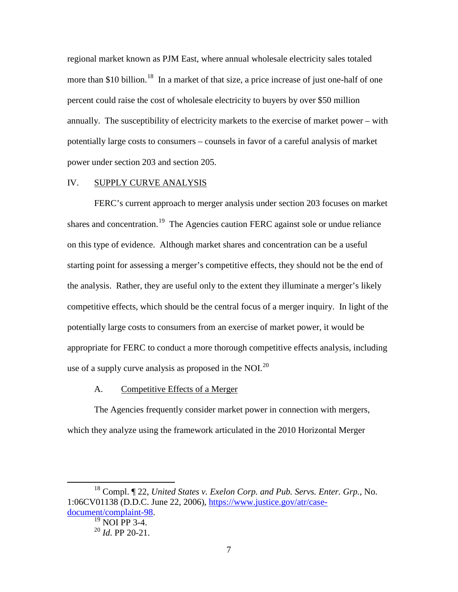regional market known as PJM East, where annual wholesale electricity sales totaled more than \$10 billion.<sup>18</sup> In a market of that size, a price increase of just one-half of one percent could raise the cost of wholesale electricity to buyers by over \$50 million annually. The susceptibility of electricity markets to the exercise of market power – with potentially large costs to consumers – counsels in favor of a careful analysis of market power under section 203 and section 205.

### IV. SUPPLY CURVE ANALYSIS

FERC's current approach to merger analysis under section 203 focuses on market shares and concentration.<sup>19</sup> The Agencies caution FERC against sole or undue reliance on this type of evidence. Although market shares and concentration can be a useful starting point for assessing a merger's competitive effects, they should not be the end of the analysis. Rather, they are useful only to the extent they illuminate a merger's likely competitive effects, which should be the central focus of a merger inquiry. In light of the potentially large costs to consumers from an exercise of market power, it would be appropriate for FERC to conduct a more thorough competitive effects analysis, including use of a supply curve analysis as proposed in the NOI. $^{20}$ 

#### A. Competitive Effects of a Merger

The Agencies frequently consider market power in connection with mergers, which they analyze using the framework articulated in the 2010 Horizontal Merger

 <sup>18</sup> Compl. ¶ 22, *United States v. Exelon Corp. and Pub. Servs. Enter. Grp.,* No. 1:06CV01138 (D.D.C. June 22, 2006), https://www.justice.gov/atr/casedocument/complaint-98.<br><sup>19</sup> NOI PP 3-4.

<sup>20</sup> *Id*. PP 20-21.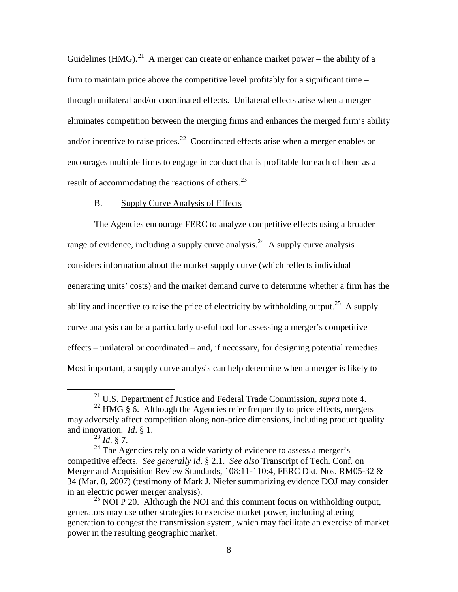Guidelines (HMG).<sup>21</sup> A merger can create or enhance market power – the ability of a firm to maintain price above the competitive level profitably for a significant time – through unilateral and/or coordinated effects. Unilateral effects arise when a merger eliminates competition between the merging firms and enhances the merged firm's ability and/or incentive to raise prices.<sup>22</sup> Coordinated effects arise when a merger enables or encourages multiple firms to engage in conduct that is profitable for each of them as a result of accommodating the reactions of others.<sup>23</sup>

### B. Supply Curve Analysis of Effects

The Agencies encourage FERC to analyze competitive effects using a broader range of evidence, including a supply curve analysis.<sup>24</sup> A supply curve analysis considers information about the market supply curve (which reflects individual generating units' costs) and the market demand curve to determine whether a firm has the ability and incentive to raise the price of electricity by withholding output.<sup>25</sup> A supply curve analysis can be a particularly useful tool for assessing a merger's competitive effects – unilateral or coordinated – and, if necessary, for designing potential remedies. Most important, a supply curve analysis can help determine when a merger is likely to

 <sup>21</sup> U.S. Department of Justice and Federal Trade Commission, *supra* note 4.

<sup>&</sup>lt;sup>22</sup> HMG  $\hat{\S}$  6. Although the Agencies refer frequently to price effects, mergers may adversely affect competition along non-price dimensions, including product quality and innovation. *Id*. § 1.

<sup>23</sup> *Id*. § 7.

 $24$  The Agencies rely on a wide variety of evidence to assess a merger's competitive effects. *See generally id*. § 2.1. *See also* Transcript of Tech. Conf. on Merger and Acquisition Review Standards, 108:11-110:4, FERC Dkt. Nos. RM05-32 & 34 (Mar. 8, 2007) (testimony of Mark J. Niefer summarizing evidence DOJ may consider in an electric power merger analysis).

 $25$  NOI P 20. Although the NOI and this comment focus on withholding output, generators may use other strategies to exercise market power, including altering generation to congest the transmission system, which may facilitate an exercise of market power in the resulting geographic market.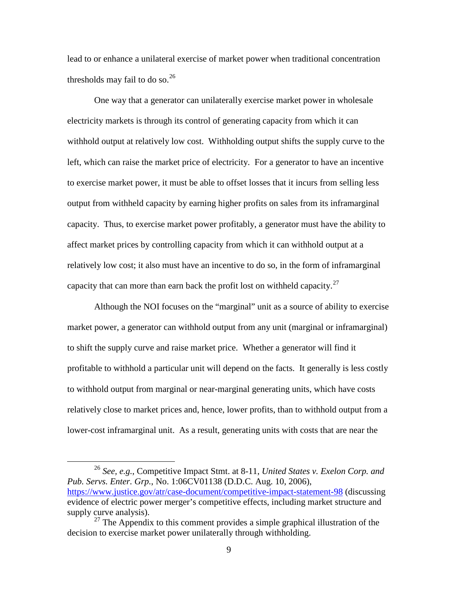lead to or enhance a unilateral exercise of market power when traditional concentration thresholds may fail to do so. $^{26}$ 

One way that a generator can unilaterally exercise market power in wholesale electricity markets is through its control of generating capacity from which it can withhold output at relatively low cost. Withholding output shifts the supply curve to the left, which can raise the market price of electricity. For a generator to have an incentive to exercise market power, it must be able to offset losses that it incurs from selling less output from withheld capacity by earning higher profits on sales from its inframarginal capacity. Thus, to exercise market power profitably, a generator must have the ability to affect market prices by controlling capacity from which it can withhold output at a relatively low cost; it also must have an incentive to do so, in the form of inframarginal capacity that can more than earn back the profit lost on withheld capacity.<sup>27</sup>

Although the NOI focuses on the "marginal" unit as a source of ability to exercise market power, a generator can withhold output from any unit (marginal or inframarginal) to shift the supply curve and raise market price. Whether a generator will find it profitable to withhold a particular unit will depend on the facts. It generally is less costly to withhold output from marginal or near-marginal generating units, which have costs relatively close to market prices and, hence, lower profits, than to withhold output from a lower-cost inframarginal unit. As a result, generating units with costs that are near the

 <sup>26</sup> *See, e.g.*, Competitive Impact Stmt. at 8-11, *United States v. Exelon Corp. and Pub. Servs. Enter. Grp.*, No. 1:06CV01138 (D.D.C. Aug. 10, 2006), https://www.justice.gov/atr/case-document/competitive-impact-statement-98 (discussing evidence of electric power merger's competitive effects, including market structure and supply curve analysis).

 $27$  The Appendix to this comment provides a simple graphical illustration of the decision to exercise market power unilaterally through withholding.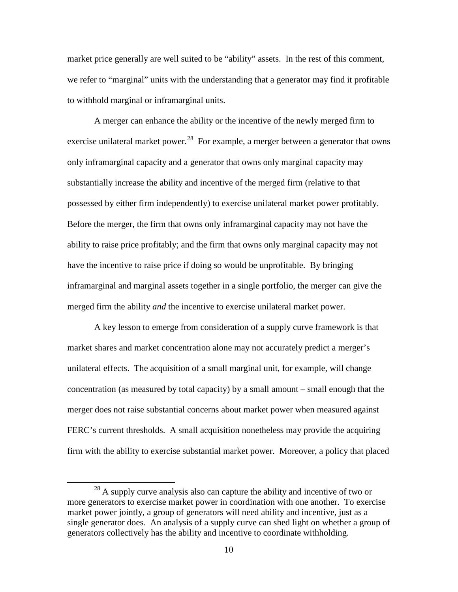market price generally are well suited to be "ability" assets. In the rest of this comment, we refer to "marginal" units with the understanding that a generator may find it profitable to withhold marginal or inframarginal units.

A merger can enhance the ability or the incentive of the newly merged firm to exercise unilateral market power.<sup>28</sup> For example, a merger between a generator that owns only inframarginal capacity and a generator that owns only marginal capacity may substantially increase the ability and incentive of the merged firm (relative to that possessed by either firm independently) to exercise unilateral market power profitably. Before the merger, the firm that owns only inframarginal capacity may not have the ability to raise price profitably; and the firm that owns only marginal capacity may not have the incentive to raise price if doing so would be unprofitable. By bringing inframarginal and marginal assets together in a single portfolio, the merger can give the merged firm the ability *and* the incentive to exercise unilateral market power.

A key lesson to emerge from consideration of a supply curve framework is that market shares and market concentration alone may not accurately predict a merger's unilateral effects. The acquisition of a small marginal unit, for example, will change concentration (as measured by total capacity) by a small amount – small enough that the merger does not raise substantial concerns about market power when measured against FERC's current thresholds. A small acquisition nonetheless may provide the acquiring firm with the ability to exercise substantial market power. Moreover, a policy that placed

 $^{28}$  A supply curve analysis also can capture the ability and incentive of two or more generators to exercise market power in coordination with one another. To exercise market power jointly, a group of generators will need ability and incentive, just as a single generator does. An analysis of a supply curve can shed light on whether a group of generators collectively has the ability and incentive to coordinate withholding.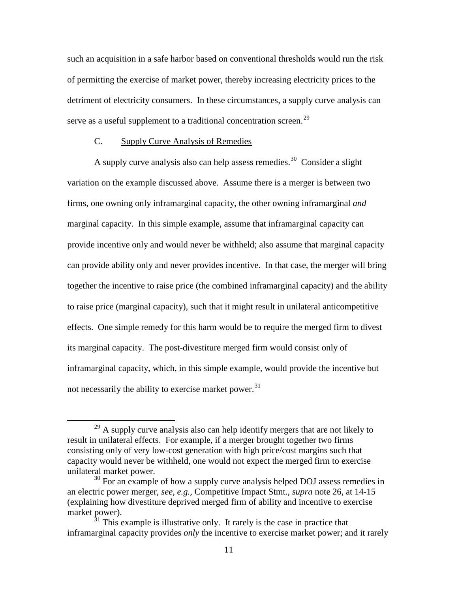such an acquisition in a safe harbor based on conventional thresholds would run the risk of permitting the exercise of market power, thereby increasing electricity prices to the detriment of electricity consumers. In these circumstances, a supply curve analysis can serve as a useful supplement to a traditional concentration screen.<sup>29</sup>

## C. Supply Curve Analysis of Remedies

A supply curve analysis also can help assess remedies.<sup>30</sup> Consider a slight variation on the example discussed above. Assume there is a merger is between two firms, one owning only inframarginal capacity, the other owning inframarginal *and* marginal capacity. In this simple example, assume that inframarginal capacity can provide incentive only and would never be withheld; also assume that marginal capacity can provide ability only and never provides incentive. In that case, the merger will bring together the incentive to raise price (the combined inframarginal capacity) and the ability to raise price (marginal capacity), such that it might result in unilateral anticompetitive effects. One simple remedy for this harm would be to require the merged firm to divest its marginal capacity. The post-divestiture merged firm would consist only of inframarginal capacity, which, in this simple example, would provide the incentive but not necessarily the ability to exercise market power.<sup>31</sup>

 $^{29}$  A supply curve analysis also can help identify mergers that are not likely to result in unilateral effects. For example, if a merger brought together two firms consisting only of very low-cost generation with high price/cost margins such that capacity would never be withheld, one would not expect the merged firm to exercise unilateral market power.

 $30$  For an example of how a supply curve analysis helped DOJ assess remedies in an electric power merger, *see, e.g.,* Competitive Impact Stmt., *supra* note 26, at 14-15 (explaining how divestiture deprived merged firm of ability and incentive to exercise market power).

 $31$ <sup>31</sup> This example is illustrative only. It rarely is the case in practice that inframarginal capacity provides *only* the incentive to exercise market power; and it rarely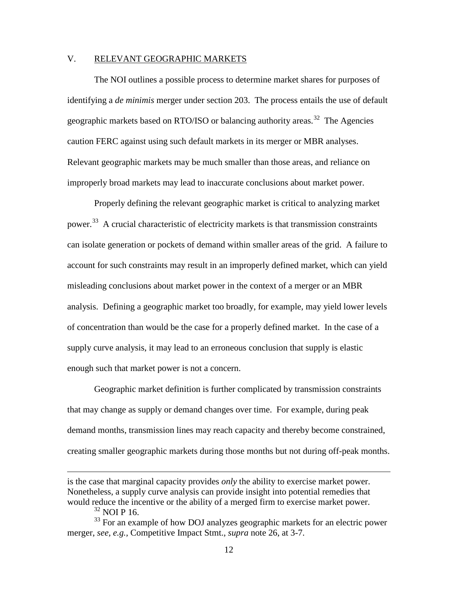### V. RELEVANT GEOGRAPHIC MARKETS

The NOI outlines a possible process to determine market shares for purposes of identifying a *de minimis* merger under section 203. The process entails the use of default geographic markets based on RTO/ISO or balancing authority areas.<sup>32</sup> The Agencies caution FERC against using such default markets in its merger or MBR analyses. Relevant geographic markets may be much smaller than those areas, and reliance on improperly broad markets may lead to inaccurate conclusions about market power.

Properly defining the relevant geographic market is critical to analyzing market power.<sup>33</sup> A crucial characteristic of electricity markets is that transmission constraints can isolate generation or pockets of demand within smaller areas of the grid. A failure to account for such constraints may result in an improperly defined market, which can yield misleading conclusions about market power in the context of a merger or an MBR analysis. Defining a geographic market too broadly, for example, may yield lower levels of concentration than would be the case for a properly defined market. In the case of a supply curve analysis, it may lead to an erroneous conclusion that supply is elastic enough such that market power is not a concern.

Geographic market definition is further complicated by transmission constraints that may change as supply or demand changes over time. For example, during peak demand months, transmission lines may reach capacity and thereby become constrained, creating smaller geographic markets during those months but not during off-peak months.

 $\overline{a}$ 

is the case that marginal capacity provides *only* the ability to exercise market power. Nonetheless, a supply curve analysis can provide insight into potential remedies that would reduce the incentive or the ability of a merged firm to exercise market power.

 $^{32}$  NOI P 16.

<sup>&</sup>lt;sup>33</sup> For an example of how DOJ analyzes geographic markets for an electric power merger, *see, e.g.,* Competitive Impact Stmt., *supra* note 26, at 3-7.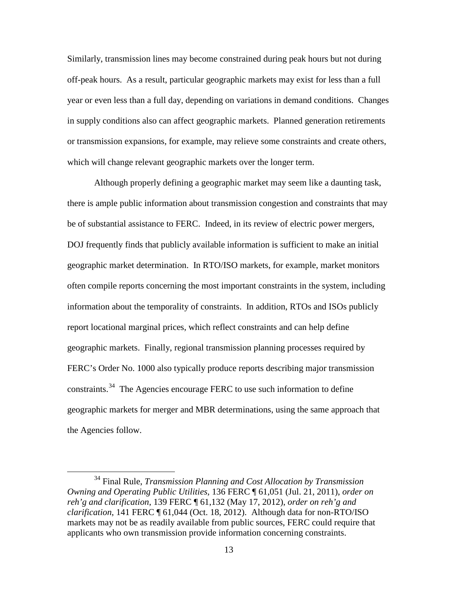Similarly, transmission lines may become constrained during peak hours but not during off-peak hours. As a result, particular geographic markets may exist for less than a full year or even less than a full day, depending on variations in demand conditions. Changes in supply conditions also can affect geographic markets. Planned generation retirements or transmission expansions, for example, may relieve some constraints and create others, which will change relevant geographic markets over the longer term.

Although properly defining a geographic market may seem like a daunting task, there is ample public information about transmission congestion and constraints that may be of substantial assistance to FERC. Indeed, in its review of electric power mergers, DOJ frequently finds that publicly available information is sufficient to make an initial geographic market determination. In RTO/ISO markets, for example, market monitors often compile reports concerning the most important constraints in the system, including information about the temporality of constraints. In addition, RTOs and ISOs publicly report locational marginal prices, which reflect constraints and can help define geographic markets. Finally, regional transmission planning processes required by FERC's Order No. 1000 also typically produce reports describing major transmission constraints.<sup>34</sup> The Agencies encourage FERC to use such information to define geographic markets for merger and MBR determinations, using the same approach that the Agencies follow.

 <sup>34</sup> Final Rule, *Transmission Planning and Cost Allocation by Transmission Owning and Operating Public Utilities*, 136 FERC ¶ 61,051 (Jul. 21, 2011), *order on reh'g and clarification*, 139 FERC ¶ 61,132 (May 17, 2012), *order on reh'g and clarification*, 141 FERC ¶ 61,044 (Oct. 18, 2012). Although data for non-RTO/ISO markets may not be as readily available from public sources, FERC could require that applicants who own transmission provide information concerning constraints.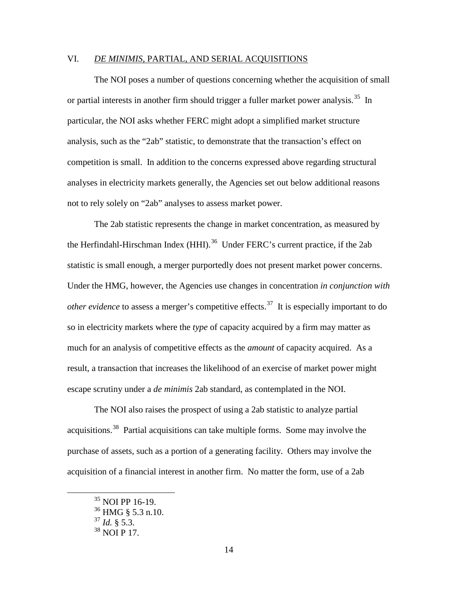### VI. *DE MINIMIS*, PARTIAL, AND SERIAL ACQUISITIONS

The NOI poses a number of questions concerning whether the acquisition of small or partial interests in another firm should trigger a fuller market power analysis.<sup>35</sup> In particular, the NOI asks whether FERC might adopt a simplified market structure analysis, such as the "2ab" statistic, to demonstrate that the transaction's effect on competition is small. In addition to the concerns expressed above regarding structural analyses in electricity markets generally, the Agencies set out below additional reasons not to rely solely on "2ab" analyses to assess market power.

The 2ab statistic represents the change in market concentration, as measured by the Herfindahl-Hirschman Index (HHI).<sup>36</sup> Under FERC's current practice, if the 2ab statistic is small enough, a merger purportedly does not present market power concerns. Under the HMG, however, the Agencies use changes in concentration *in conjunction with other evidence* to assess a merger's competitive effects. 37 It is especially important to do so in electricity markets where the *type* of capacity acquired by a firm may matter as much for an analysis of competitive effects as the *amount* of capacity acquired. As a result, a transaction that increases the likelihood of an exercise of market power might escape scrutiny under a *de minimis* 2ab standard, as contemplated in the NOI.

The NOI also raises the prospect of using a 2ab statistic to analyze partial acquisitions.<sup>38</sup> Partial acquisitions can take multiple forms. Some may involve the purchase of assets, such as a portion of a generating facility. Others may involve the acquisition of a financial interest in another firm. No matter the form, use of a 2ab

 <sup>35</sup> NOI PP 16-19.

 $36$  HMG  $\frac{8}{3}$  5.3 n.10.

<sup>37</sup> *Id.* § 5.3.

 $38$  NOI P 17.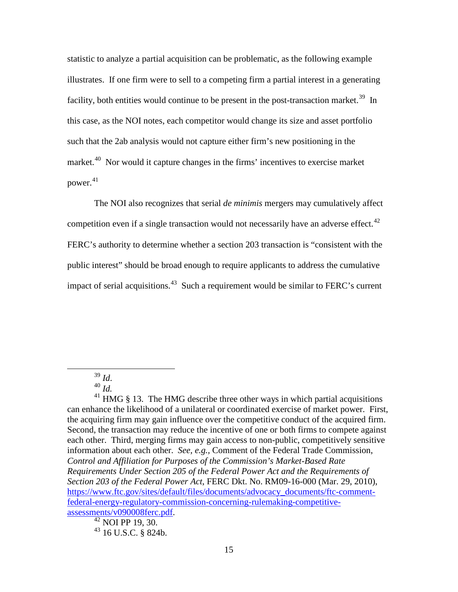statistic to analyze a partial acquisition can be problematic, as the following example illustrates. If one firm were to sell to a competing firm a partial interest in a generating facility, both entities would continue to be present in the post-transaction market.<sup>39</sup> In this case, as the NOI notes, each competitor would change its size and asset portfolio such that the 2ab analysis would not capture either firm's new positioning in the market.<sup>40</sup> Nor would it capture changes in the firms' incentives to exercise market power. 41

The NOI also recognizes that serial *de minimis* mergers may cumulatively affect competition even if a single transaction would not necessarily have an adverse effect.<sup>42</sup> FERC's authority to determine whether a section 203 transaction is "consistent with the public interest" should be broad enough to require applicants to address the cumulative impact of serial acquisitions.<sup>43</sup> Such a requirement would be similar to FERC's current

 $41$  HMG § 13. The HMG describe three other ways in which partial acquisitions can enhance the likelihood of a unilateral or coordinated exercise of market power. First, the acquiring firm may gain influence over the competitive conduct of the acquired firm. Second, the transaction may reduce the incentive of one or both firms to compete against each other. Third, merging firms may gain access to non-public, competitively sensitive information about each other. *See, e.g.,* Comment of the Federal Trade Commission, *Control and Affiliation for Purposes of the Commission's Market-Based Rate Requirements Under Section 205 of the Federal Power Act and the Requirements of Section 203 of the Federal Power Act*, FERC Dkt. No. RM09-16-000 (Mar. 29, 2010), https://www.ftc.gov/sites/default/files/documents/advocacy\_documents/ftc-commentfederal-energy-regulatory-commission-concerning-rulemaking-competitive- $\frac{assessments/v090008ferc.pdf}{42}$  NOI PP 19, 30.

 $43$  16 U.S.C. § 824b.

<sup>39</sup> *Id*. <sup>40</sup> *Id.*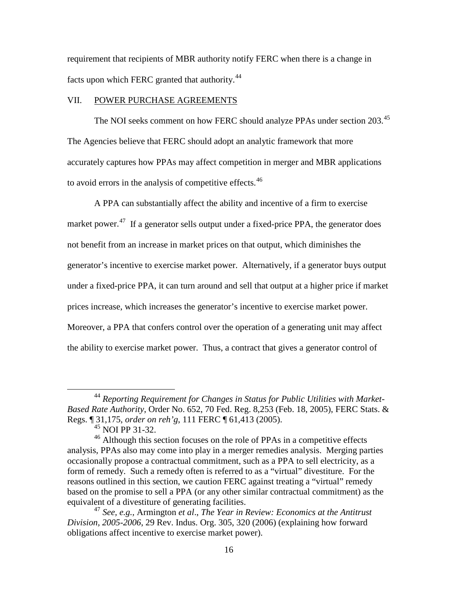requirement that recipients of MBR authority notify FERC when there is a change in facts upon which FERC granted that authority.<sup>44</sup>

### VII. POWER PURCHASE AGREEMENTS

The NOI seeks comment on how FERC should analyze PPAs under section 203.<sup>45</sup> The Agencies believe that FERC should adopt an analytic framework that more accurately captures how PPAs may affect competition in merger and MBR applications to avoid errors in the analysis of competitive effects.<sup>46</sup>

A PPA can substantially affect the ability and incentive of a firm to exercise market power.<sup>47</sup> If a generator sells output under a fixed-price PPA, the generator does not benefit from an increase in market prices on that output, which diminishes the generator's incentive to exercise market power. Alternatively, if a generator buys output under a fixed-price PPA, it can turn around and sell that output at a higher price if market prices increase, which increases the generator's incentive to exercise market power. Moreover, a PPA that confers control over the operation of a generating unit may affect the ability to exercise market power. Thus, a contract that gives a generator control of

 <sup>44</sup> *Reporting Requirement for Changes in Status for Public Utilities with Market-Based Rate Authority*, Order No. 652, 70 Fed. Reg. 8,253 (Feb. 18, 2005), FERC Stats. & Regs. ¶ 31,175, *order on reh'g*, 111 FERC ¶ 61,413 (2005).

 $45$  NOI PP 31-32.

<sup>&</sup>lt;sup>46</sup> Although this section focuses on the role of PPAs in a competitive effects analysis, PPAs also may come into play in a merger remedies analysis. Merging parties occasionally propose a contractual commitment, such as a PPA to sell electricity, as a form of remedy. Such a remedy often is referred to as a "virtual" divestiture. For the reasons outlined in this section, we caution FERC against treating a "virtual" remedy based on the promise to sell a PPA (or any other similar contractual commitment) as the equivalent of a divestiture of generating facilities.

<sup>47</sup> *See, e.g.,* Armington *et al*., *The Year in Review: Economics at the Antitrust Division, 2005-2006*, 29 Rev. Indus. Org. 305, 320 (2006) (explaining how forward obligations affect incentive to exercise market power).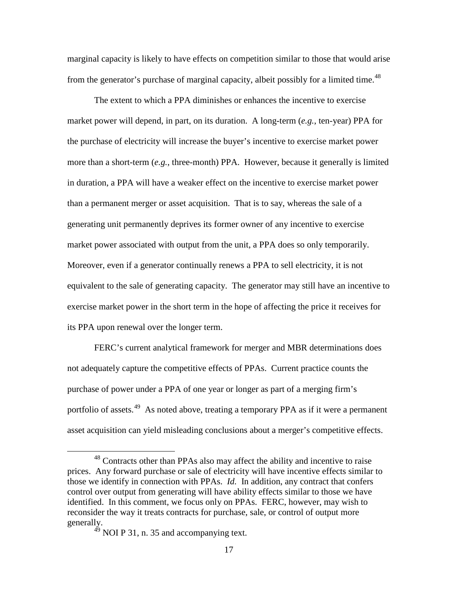marginal capacity is likely to have effects on competition similar to those that would arise from the generator's purchase of marginal capacity, albeit possibly for a limited time.<sup>48</sup>

The extent to which a PPA diminishes or enhances the incentive to exercise market power will depend, in part, on its duration. A long-term (*e.g.*, ten-year) PPA for the purchase of electricity will increase the buyer's incentive to exercise market power more than a short-term (*e.g.*, three-month) PPA. However, because it generally is limited in duration, a PPA will have a weaker effect on the incentive to exercise market power than a permanent merger or asset acquisition. That is to say, whereas the sale of a generating unit permanently deprives its former owner of any incentive to exercise market power associated with output from the unit, a PPA does so only temporarily. Moreover, even if a generator continually renews a PPA to sell electricity, it is not equivalent to the sale of generating capacity. The generator may still have an incentive to exercise market power in the short term in the hope of affecting the price it receives for its PPA upon renewal over the longer term.

FERC's current analytical framework for merger and MBR determinations does not adequately capture the competitive effects of PPAs. Current practice counts the purchase of power under a PPA of one year or longer as part of a merging firm's portfolio of assets.<sup>49</sup> As noted above, treating a temporary PPA as if it were a permanent asset acquisition can yield misleading conclusions about a merger's competitive effects.

<sup>&</sup>lt;sup>48</sup> Contracts other than PPAs also may affect the ability and incentive to raise prices. Any forward purchase or sale of electricity will have incentive effects similar to those we identify in connection with PPAs. *Id.* In addition, any contract that confers control over output from generating will have ability effects similar to those we have identified. In this comment, we focus only on PPAs. FERC, however, may wish to reconsider the way it treats contracts for purchase, sale, or control of output more generally.<br><sup>49</sup> NOI P 31, n. 35 and accompanying text.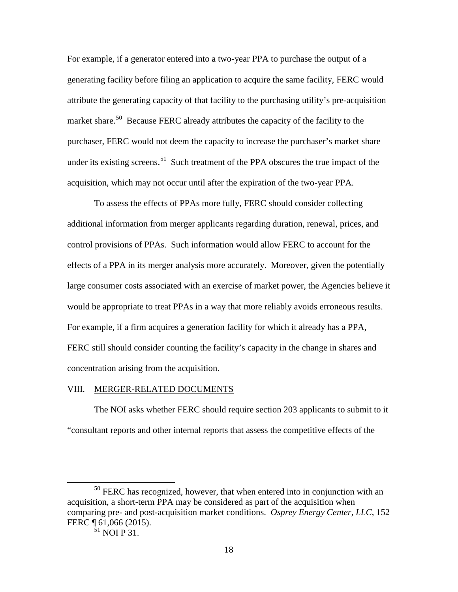For example, if a generator entered into a two-year PPA to purchase the output of a generating facility before filing an application to acquire the same facility, FERC would attribute the generating capacity of that facility to the purchasing utility's pre-acquisition market share.<sup>50</sup> Because FERC already attributes the capacity of the facility to the purchaser, FERC would not deem the capacity to increase the purchaser's market share under its existing screens.<sup>51</sup> Such treatment of the PPA obscures the true impact of the acquisition, which may not occur until after the expiration of the two-year PPA.

To assess the effects of PPAs more fully, FERC should consider collecting additional information from merger applicants regarding duration, renewal, prices, and control provisions of PPAs. Such information would allow FERC to account for the effects of a PPA in its merger analysis more accurately. Moreover, given the potentially large consumer costs associated with an exercise of market power, the Agencies believe it would be appropriate to treat PPAs in a way that more reliably avoids erroneous results. For example, if a firm acquires a generation facility for which it already has a PPA, FERC still should consider counting the facility's capacity in the change in shares and concentration arising from the acquisition.

#### VIII. MERGER-RELATED DOCUMENTS

The NOI asks whether FERC should require section 203 applicants to submit to it "consultant reports and other internal reports that assess the competitive effects of the

 $50$  FERC has recognized, however, that when entered into in conjunction with an acquisition, a short-term PPA may be considered as part of the acquisition when comparing pre- and post-acquisition market conditions. *Osprey Energy Center, LLC*, 152 FERC ¶ 61,066 (2015).

 $51$  NOI P 31.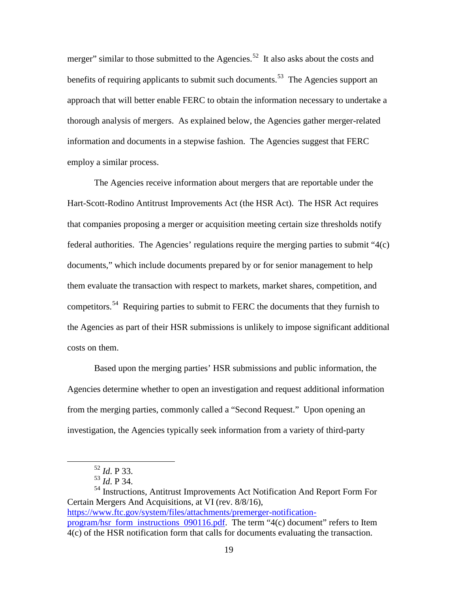merger" similar to those submitted to the Agencies.<sup>52</sup> It also asks about the costs and benefits of requiring applicants to submit such documents.<sup>53</sup> The Agencies support an approach that will better enable FERC to obtain the information necessary to undertake a thorough analysis of mergers. As explained below, the Agencies gather merger-related information and documents in a stepwise fashion. The Agencies suggest that FERC employ a similar process.

The Agencies receive information about mergers that are reportable under the Hart-Scott-Rodino Antitrust Improvements Act (the HSR Act). The HSR Act requires that companies proposing a merger or acquisition meeting certain size thresholds notify federal authorities. The Agencies' regulations require the merging parties to submit "4(c) documents," which include documents prepared by or for senior management to help them evaluate the transaction with respect to markets, market shares, competition, and competitors.<sup>54</sup> Requiring parties to submit to FERC the documents that they furnish to the Agencies as part of their HSR submissions is unlikely to impose significant additional costs on them.

 Based upon the merging parties' HSR submissions and public information, the Agencies determine whether to open an investigation and request additional information from the merging parties, commonly called a "Second Request." Upon opening an investigation, the Agencies typically seek information from a variety of third-party

54 Instructions, Antitrust Improvements Act Notification And Report Form For Certain Mergers And Acquisitions, at VI (rev. 8/8/16), https://www.ftc.gov/system/files/attachments/premerger-notificationprogram/hsr form instructions 090116.pdf. The term "4(c) document" refers to Item 4(c) of the HSR notification form that calls for documents evaluating the transaction.

 <sup>52</sup> *Id*. P 33.

<sup>53</sup> *Id*. P 34.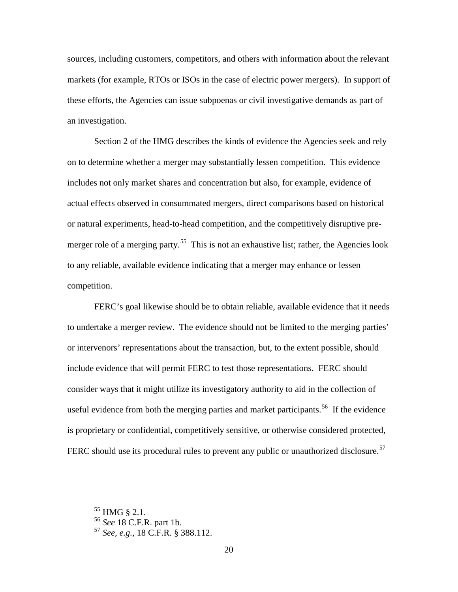sources, including customers, competitors, and others with information about the relevant markets (for example, RTOs or ISOs in the case of electric power mergers). In support of these efforts, the Agencies can issue subpoenas or civil investigative demands as part of an investigation.

Section 2 of the HMG describes the kinds of evidence the Agencies seek and rely on to determine whether a merger may substantially lessen competition. This evidence includes not only market shares and concentration but also, for example, evidence of actual effects observed in consummated mergers, direct comparisons based on historical or natural experiments, head-to-head competition, and the competitively disruptive premerger role of a merging party.<sup>55</sup> This is not an exhaustive list; rather, the Agencies look to any reliable, available evidence indicating that a merger may enhance or lessen competition.

FERC's goal likewise should be to obtain reliable, available evidence that it needs to undertake a merger review. The evidence should not be limited to the merging parties' or intervenors' representations about the transaction, but, to the extent possible, should include evidence that will permit FERC to test those representations. FERC should consider ways that it might utilize its investigatory authority to aid in the collection of useful evidence from both the merging parties and market participants.<sup>56</sup> If the evidence is proprietary or confidential, competitively sensitive, or otherwise considered protected, FERC should use its procedural rules to prevent any public or unauthorized disclosure.<sup>57</sup>

 $55$  HMG  $\S$  2.1.

<sup>56</sup> *See* 18 C.F.R. part 1b.

<sup>57</sup> *See, e.g.*, 18 C.F.R. § 388.112.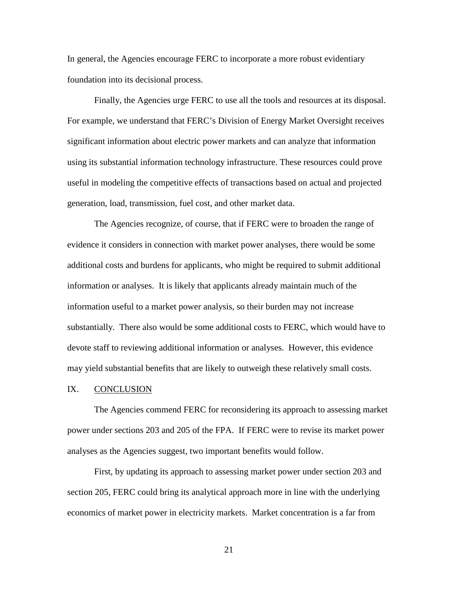In general, the Agencies encourage FERC to incorporate a more robust evidentiary foundation into its decisional process.

Finally, the Agencies urge FERC to use all the tools and resources at its disposal. For example, we understand that FERC's Division of Energy Market Oversight receives significant information about electric power markets and can analyze that information using its substantial information technology infrastructure. These resources could prove useful in modeling the competitive effects of transactions based on actual and projected generation, load, transmission, fuel cost, and other market data.

The Agencies recognize, of course, that if FERC were to broaden the range of evidence it considers in connection with market power analyses, there would be some additional costs and burdens for applicants, who might be required to submit additional information or analyses. It is likely that applicants already maintain much of the information useful to a market power analysis, so their burden may not increase substantially. There also would be some additional costs to FERC, which would have to devote staff to reviewing additional information or analyses. However, this evidence may yield substantial benefits that are likely to outweigh these relatively small costs.

#### IX. CONCLUSION

The Agencies commend FERC for reconsidering its approach to assessing market power under sections 203 and 205 of the FPA. If FERC were to revise its market power analyses as the Agencies suggest, two important benefits would follow.

First, by updating its approach to assessing market power under section 203 and section 205, FERC could bring its analytical approach more in line with the underlying economics of market power in electricity markets. Market concentration is a far from

21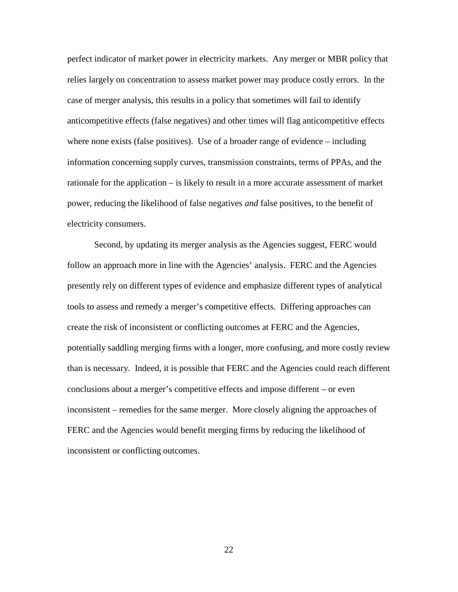perfect indicator of market power in electricity markets. Any merger or MBR policy that relies largely on concentration to assess market power may produce costly errors. In the case of merger analysis, this results in a policy that sometimes will fail to identify anticompetitive effects (false negatives) and other times will flag anticompetitive effects where none exists (false positives). Use of a broader range of evidence – including information concerning supply curves, transmission constraints, terms of PPAs, and the rationale for the application – is likely to result in a more accurate assessment of market power, reducing the likelihood of false negatives *and* false positives, to the benefit of electricity consumers.

Second, by updating its merger analysis as the Agencies suggest, FERC would follow an approach more in line with the Agencies' analysis. FERC and the Agencies presently rely on different types of evidence and emphasize different types of analytical tools to assess and remedy a merger's competitive effects. Differing approaches can create the risk of inconsistent or conflicting outcomes at FERC and the Agencies, potentially saddling merging firms with a longer, more confusing, and more costly review than is necessary. Indeed, it is possible that FERC and the Agencies could reach different conclusions about a merger's competitive effects and impose different – or even inconsistent – remedies for the same merger. More closely aligning the approaches of FERC and the Agencies would benefit merging firms by reducing the likelihood of inconsistent or conflicting outcomes.

22